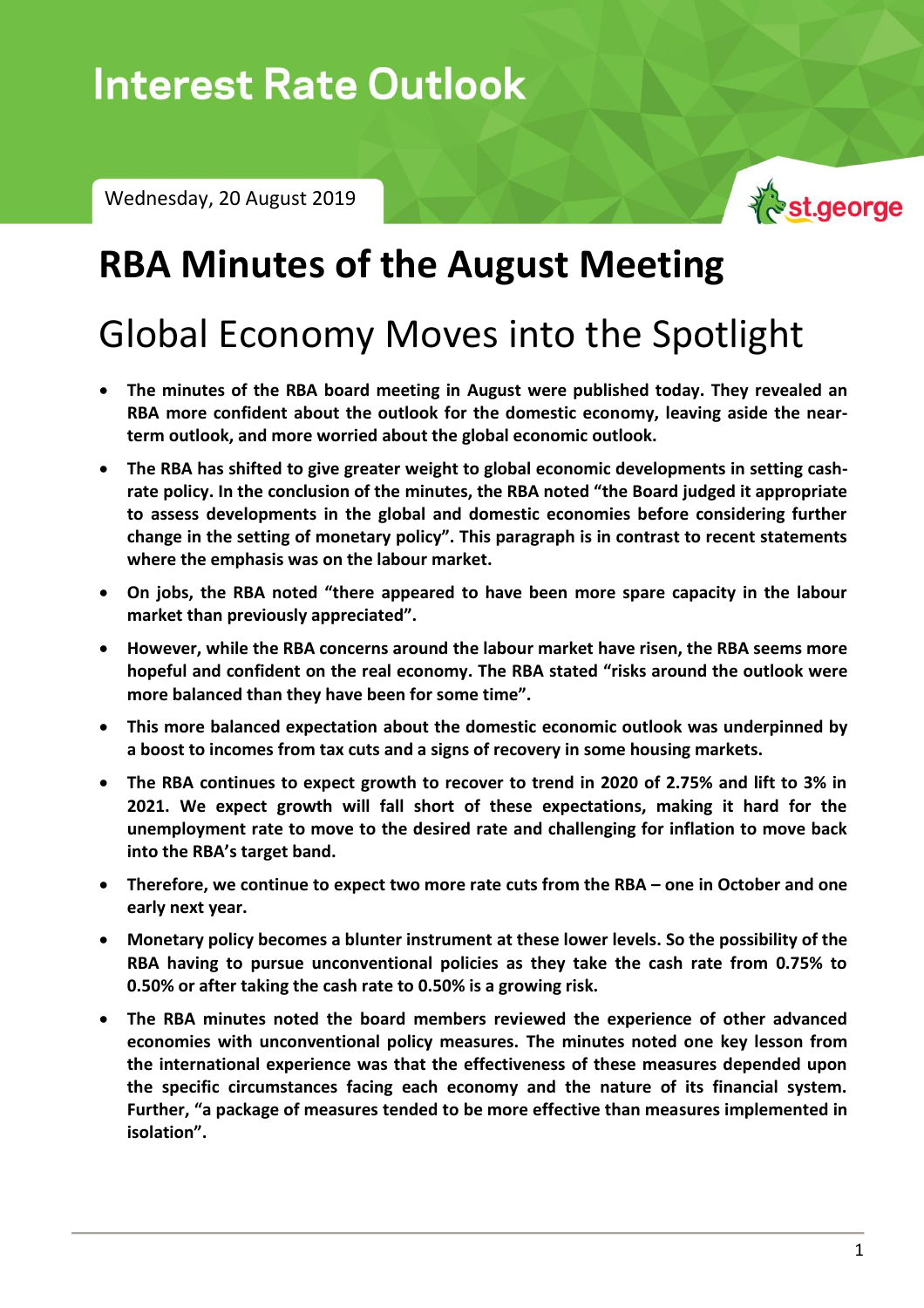Wednesday, 20 August 2019



## **RBA Minutes of the August Meeting**

# Global Economy Moves into the Spotlight

- **The minutes of the RBA board meeting in August were published today. They revealed an RBA more confident about the outlook for the domestic economy, leaving aside the nearterm outlook, and more worried about the global economic outlook.**
- **The RBA has shifted to give greater weight to global economic developments in setting cashrate policy. In the conclusion of the minutes, the RBA noted "the Board judged it appropriate to assess developments in the global and domestic economies before considering further change in the setting of monetary policy". This paragraph is in contrast to recent statements where the emphasis was on the labour market.**
- **On jobs, the RBA noted "there appeared to have been more spare capacity in the labour market than previously appreciated".**
- **However, while the RBA concerns around the labour market have risen, the RBA seems more hopeful and confident on the real economy. The RBA stated "risks around the outlook were more balanced than they have been for some time".**
- **This more balanced expectation about the domestic economic outlook was underpinned by a boost to incomes from tax cuts and a signs of recovery in some housing markets.**
- **The RBA continues to expect growth to recover to trend in 2020 of 2.75% and lift to 3% in 2021. We expect growth will fall short of these expectations, making it hard for the unemployment rate to move to the desired rate and challenging for inflation to move back into the RBA's target band.**
- **•** Therefore, we continue to expect two more rate cuts from the RBA one in October and one **early next year.**
- **Monetary policy becomes a blunter instrument at these lower levels. So the possibility of the RBA having to pursue unconventional policies as they take the cash rate from 0.75% to 0.50% or after taking the cash rate to 0.50% is a growing risk.**
- **The RBA minutes noted the board members reviewed the experience of other advanced economies with unconventional policy measures. The minutes noted one key lesson from the international experience was that the effectiveness of these measures depended upon the specific circumstances facing each economy and the nature of its financial system. Further, "a package of measures tended to be more effective than measures implemented in isolation".**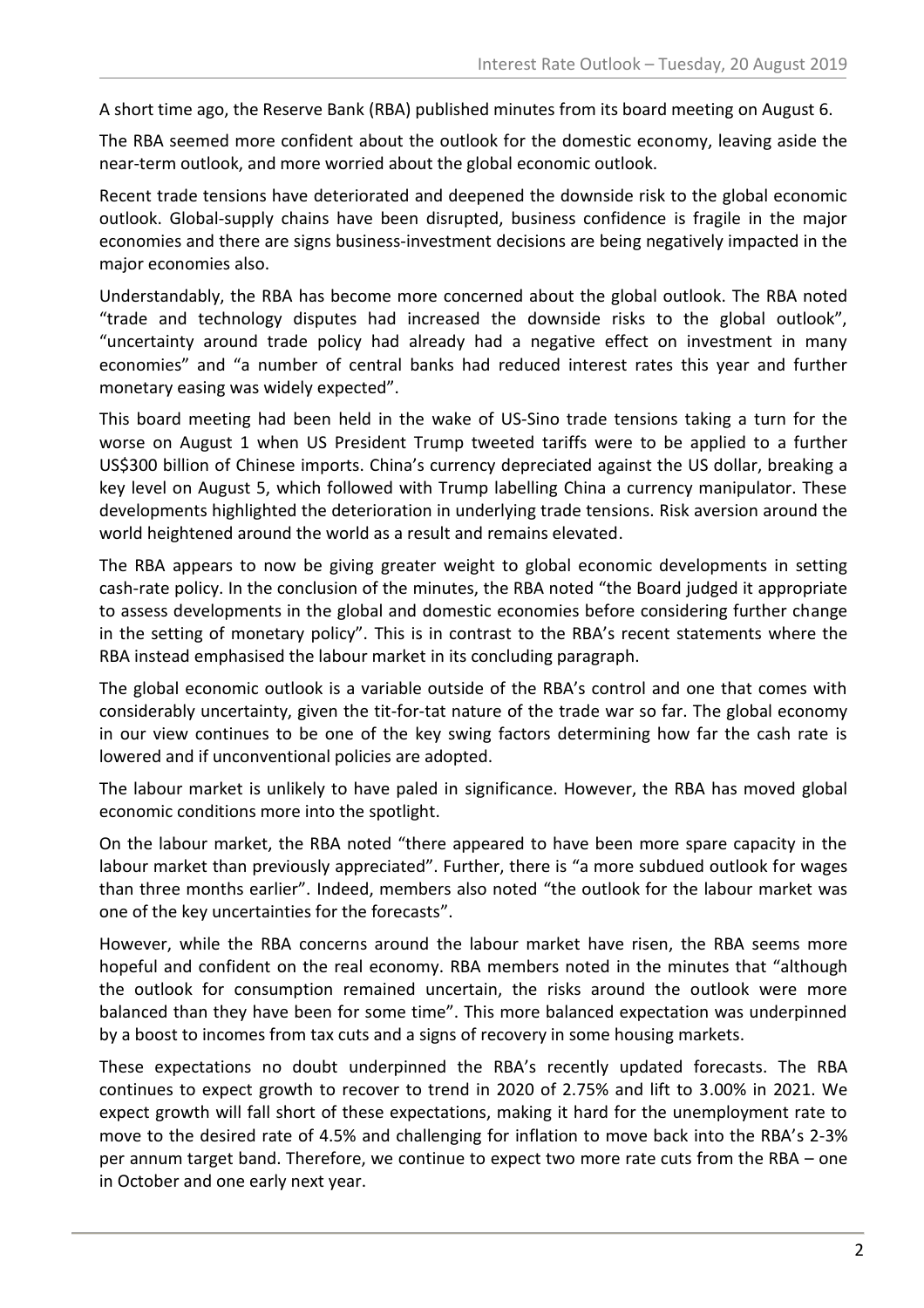A short time ago, the Reserve Bank (RBA) published minutes from its board meeting on August 6.

The RBA seemed more confident about the outlook for the domestic economy, leaving aside the near-term outlook, and more worried about the global economic outlook.

Recent trade tensions have deteriorated and deepened the downside risk to the global economic outlook. Global-supply chains have been disrupted, business confidence is fragile in the major economies and there are signs business-investment decisions are being negatively impacted in the major economies also.

Understandably, the RBA has become more concerned about the global outlook. The RBA noted "trade and technology disputes had increased the downside risks to the global outlook", "uncertainty around trade policy had already had a negative effect on investment in many economies" and "a number of central banks had reduced interest rates this year and further monetary easing was widely expected".

This board meeting had been held in the wake of US-Sino trade tensions taking a turn for the worse on August 1 when US President Trump tweeted tariffs were to be applied to a further US\$300 billion of Chinese imports. China's currency depreciated against the US dollar, breaking a key level on August 5, which followed with Trump labelling China a currency manipulator. These developments highlighted the deterioration in underlying trade tensions. Risk aversion around the world heightened around the world as a result and remains elevated.

The RBA appears to now be giving greater weight to global economic developments in setting cash-rate policy. In the conclusion of the minutes, the RBA noted "the Board judged it appropriate to assess developments in the global and domestic economies before considering further change in the setting of monetary policy". This is in contrast to the RBA's recent statements where the RBA instead emphasised the labour market in its concluding paragraph.

The global economic outlook is a variable outside of the RBA's control and one that comes with considerably uncertainty, given the tit-for-tat nature of the trade war so far. The global economy in our view continues to be one of the key swing factors determining how far the cash rate is lowered and if unconventional policies are adopted.

The labour market is unlikely to have paled in significance. However, the RBA has moved global economic conditions more into the spotlight.

On the labour market, the RBA noted "there appeared to have been more spare capacity in the labour market than previously appreciated". Further, there is "a more subdued outlook for wages than three months earlier". Indeed, members also noted "the outlook for the labour market was one of the key uncertainties for the forecasts".

However, while the RBA concerns around the labour market have risen, the RBA seems more hopeful and confident on the real economy. RBA members noted in the minutes that "although the outlook for consumption remained uncertain, the risks around the outlook were more balanced than they have been for some time". This more balanced expectation was underpinned by a boost to incomes from tax cuts and a signs of recovery in some housing markets.

These expectations no doubt underpinned the RBA's recently updated forecasts. The RBA continues to expect growth to recover to trend in 2020 of 2.75% and lift to 3.00% in 2021. We expect growth will fall short of these expectations, making it hard for the unemployment rate to move to the desired rate of 4.5% and challenging for inflation to move back into the RBA's 2-3% per annum target band. Therefore, we continue to expect two more rate cuts from the RBA – one in October and one early next year.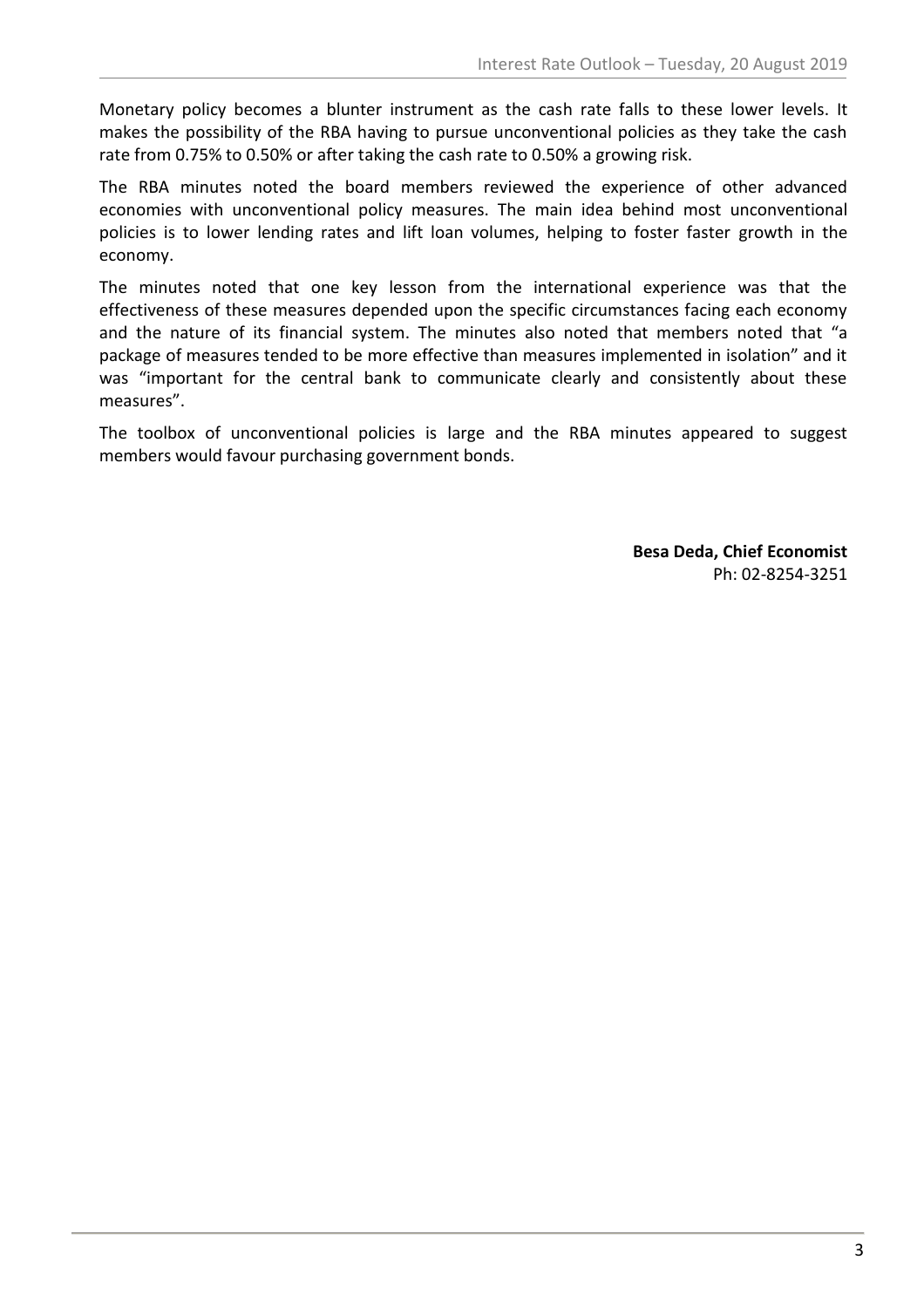Monetary policy becomes a blunter instrument as the cash rate falls to these lower levels. It makes the possibility of the RBA having to pursue unconventional policies as they take the cash rate from 0.75% to 0.50% or after taking the cash rate to 0.50% a growing risk.

The RBA minutes noted the board members reviewed the experience of other advanced economies with unconventional policy measures. The main idea behind most unconventional policies is to lower lending rates and lift loan volumes, helping to foster faster growth in the economy.

The minutes noted that one key lesson from the international experience was that the effectiveness of these measures depended upon the specific circumstances facing each economy and the nature of its financial system. The minutes also noted that members noted that "a package of measures tended to be more effective than measures implemented in isolation" and it was "important for the central bank to communicate clearly and consistently about these measures".

The toolbox of unconventional policies is large and the RBA minutes appeared to suggest members would favour purchasing government bonds.

> **Besa Deda, Chief Economist** Ph: 02-8254-3251